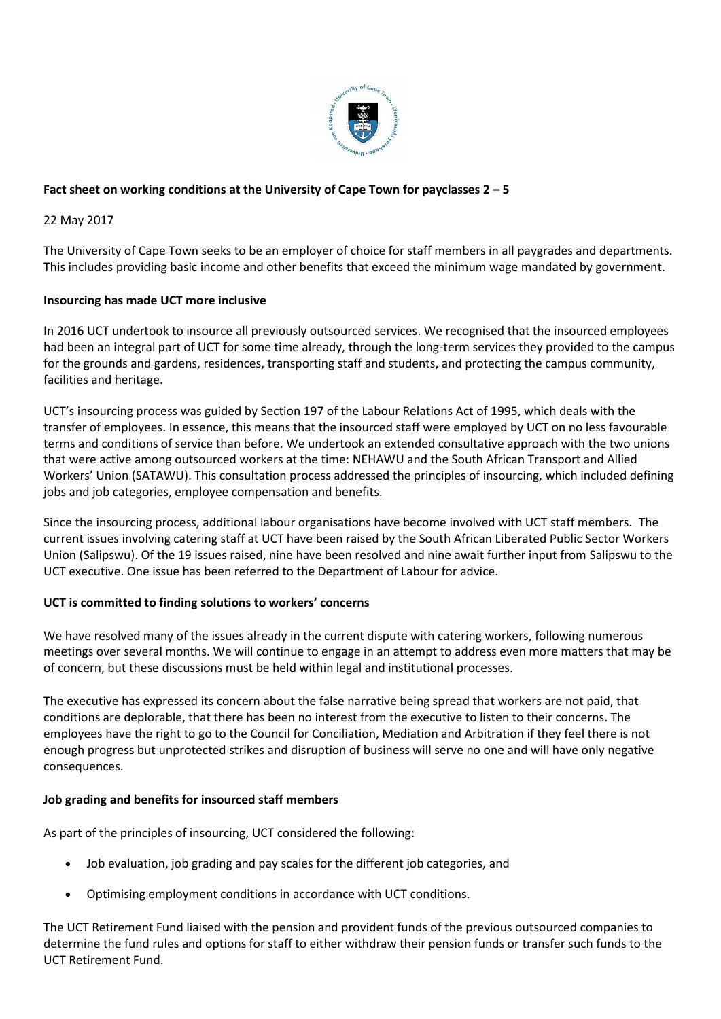

# **Fact sheet on working conditions at the University of Cape Town for payclasses 2 – 5**

22 May 2017

The University of Cape Town seeks to be an employer of choice for staff members in all paygrades and departments. This includes providing basic income and other benefits that exceed the minimum wage mandated by government.

### **Insourcing has made UCT more inclusive**

In 2016 UCT undertook to insource all previously outsourced services. We recognised that the insourced employees had been an integral part of UCT for some time already, through the long-term services they provided to the campus for the grounds and gardens, residences, transporting staff and students, and protecting the campus community, facilities and heritage.

UCT's insourcing process was guided by Section 197 of the Labour Relations Act of 1995, which deals with the transfer of employees. In essence, this means that the insourced staff were employed by UCT on no less favourable terms and conditions of service than before. We undertook an extended consultative approach with the two unions that were active among outsourced workers at the time: NEHAWU and the South African Transport and Allied Workers' Union (SATAWU). This consultation process addressed the principles of insourcing, which included defining jobs and job categories, employee compensation and benefits.

Since the insourcing process, additional labour organisations have become involved with UCT staff members. The current issues involving catering staff at UCT have been raised by the South African Liberated Public Sector Workers Union (Salipswu). Of the 19 issues raised, nine have been resolved and nine await further input from Salipswu to the UCT executive. One issue has been referred to the Department of Labour for advice.

#### **UCT is committed to finding solutions to workers' concerns**

We have resolved many of the issues already in the current dispute with catering workers, following numerous meetings over several months. We will continue to engage in an attempt to address even more matters that may be of concern, but these discussions must be held within legal and institutional processes.

The executive has expressed its concern about the false narrative being spread that workers are not paid, that conditions are deplorable, that there has been no interest from the executive to listen to their concerns. The employees have the right to go to the Council for Conciliation, Mediation and Arbitration if they feel there is not enough progress but unprotected strikes and disruption of business will serve no one and will have only negative consequences.

#### **Job grading and benefits for insourced staff members**

As part of the principles of insourcing, UCT considered the following:

- Job evaluation, job grading and pay scales for the different job categories, and
- Optimising employment conditions in accordance with UCT conditions.

The UCT Retirement Fund liaised with the pension and provident funds of the previous outsourced companies to determine the fund rules and options for staff to either withdraw their pension funds or transfer such funds to the UCT Retirement Fund.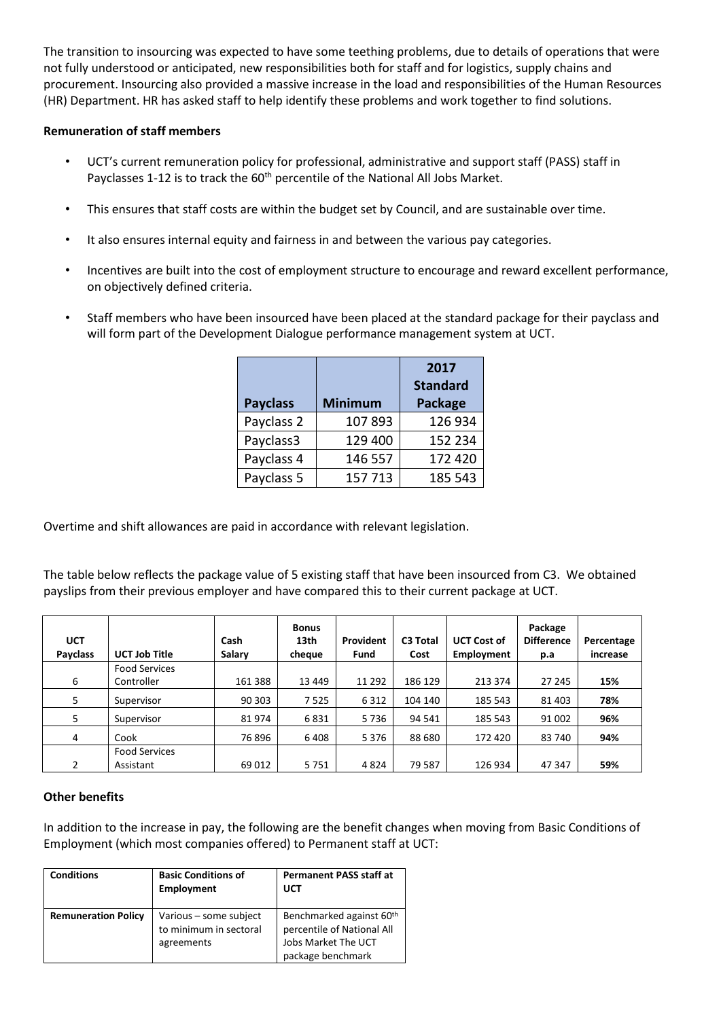The transition to insourcing was expected to have some teething problems, due to details of operations that were not fully understood or anticipated, new responsibilities both for staff and for logistics, supply chains and procurement. Insourcing also provided a massive increase in the load and responsibilities of the Human Resources (HR) Department. HR has asked staff to help identify these problems and work together to find solutions.

## **Remuneration of staff members**

- UCT's current remuneration policy for professional, administrative and support staff (PASS) staff in Payclasses 1-12 is to track the 60<sup>th</sup> percentile of the National All Jobs Market.
- This ensures that staff costs are within the budget set by Council, and are sustainable over time.
- It also ensures internal equity and fairness in and between the various pay categories.
- Incentives are built into the cost of employment structure to encourage and reward excellent performance, on objectively defined criteria.
- Staff members who have been insourced have been placed at the standard package for their payclass and will form part of the Development Dialogue performance management system at UCT.

|                 |                | 2017                              |  |
|-----------------|----------------|-----------------------------------|--|
| <b>Payclass</b> | <b>Minimum</b> | <b>Standard</b><br><b>Package</b> |  |
| Payclass 2      | 107893         | 126 934                           |  |
| Payclass3       | 129 400        | 152 234                           |  |
| Payclass 4      | 146 557        | 172 420                           |  |
| Payclass 5      | 157713         | 185 543                           |  |

Overtime and shift allowances are paid in accordance with relevant legislation.

The table below reflects the package value of 5 existing staff that have been insourced from C3. We obtained payslips from their previous employer and have compared this to their current package at UCT.

| <b>UCT</b><br><b>Payclass</b> | <b>UCT Job Title</b> | Cash<br>Salary | <b>Bonus</b><br>13th<br>cheque | Provident<br>Fund | C3 Total<br>Cost | <b>UCT Cost of</b><br>Employment | Package<br><b>Difference</b><br>p.a | Percentage<br>increase |
|-------------------------------|----------------------|----------------|--------------------------------|-------------------|------------------|----------------------------------|-------------------------------------|------------------------|
|                               | <b>Food Services</b> |                |                                |                   |                  |                                  |                                     |                        |
| 6                             | Controller           | 161 388        | 13 4 49                        | 11 292            | 186 129          | 213 374                          | 27 245                              | 15%                    |
| 5                             | Supervisor           | 90 303         | 7525                           | 6 3 1 2           | 104 140          | 185 543                          | 81 403                              | 78%                    |
| 5                             | Supervisor           | 81974          | 6831                           | 5736              | 94 541           | 185 543                          | 91 002                              | 96%                    |
| 4                             | Cook                 | 76896          | 6408                           | 5 3 7 6           | 88 680           | 172 420                          | 83 740                              | 94%                    |
|                               | <b>Food Services</b> |                |                                |                   |                  |                                  |                                     |                        |
| 2                             | Assistant            | 69 012         | 5751                           | 4824              | 79 5 8 7         | 126 934                          | 47 347                              | 59%                    |

## **Other benefits**

In addition to the increase in pay, the following are the benefit changes when moving from Basic Conditions of Employment (which most companies offered) to Permanent staff at UCT:

| <b>Conditions</b>          | <b>Basic Conditions of</b><br><b>Employment</b>                | <b>Permanent PASS staff at</b><br><b>UCT</b>                                                                   |
|----------------------------|----------------------------------------------------------------|----------------------------------------------------------------------------------------------------------------|
| <b>Remuneration Policy</b> | Various – some subject<br>to minimum in sectoral<br>agreements | Benchmarked against 60 <sup>th</sup><br>percentile of National All<br>Jobs Market The UCT<br>package benchmark |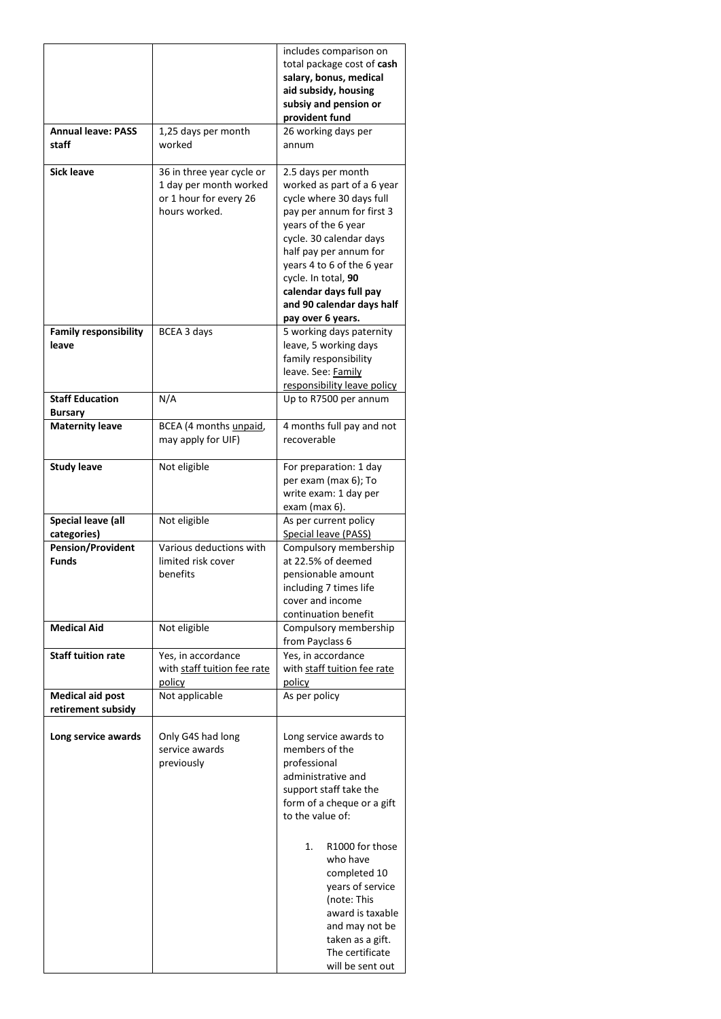|                                         |                                                  | includes comparison on<br>total package cost of cash   |  |
|-----------------------------------------|--------------------------------------------------|--------------------------------------------------------|--|
|                                         |                                                  | salary, bonus, medical                                 |  |
|                                         |                                                  | aid subsidy, housing<br>subsiy and pension or          |  |
|                                         |                                                  | provident fund                                         |  |
| <b>Annual leave: PASS</b>               | 1,25 days per month                              | 26 working days per                                    |  |
| staff                                   | worked                                           | annum                                                  |  |
| <b>Sick leave</b>                       | 36 in three year cycle or                        | 2.5 days per month                                     |  |
|                                         | 1 day per month worked<br>or 1 hour for every 26 | worked as part of a 6 year<br>cycle where 30 days full |  |
|                                         | hours worked.                                    | pay per annum for first 3                              |  |
|                                         |                                                  | years of the 6 year                                    |  |
|                                         |                                                  | cycle. 30 calendar days<br>half pay per annum for      |  |
|                                         |                                                  | years 4 to 6 of the 6 year                             |  |
|                                         |                                                  | cycle. In total, 90                                    |  |
|                                         |                                                  | calendar days full pay<br>and 90 calendar days half    |  |
|                                         |                                                  | pay over 6 years.                                      |  |
| <b>Family responsibility</b>            | BCEA 3 days                                      | 5 working days paternity                               |  |
| leave                                   |                                                  | leave, 5 working days<br>family responsibility         |  |
|                                         |                                                  | leave. See: Family                                     |  |
| <b>Staff Education</b>                  |                                                  | responsibility leave policy                            |  |
| <b>Bursary</b>                          | N/A                                              | Up to R7500 per annum                                  |  |
| <b>Maternity leave</b>                  | BCEA (4 months unpaid,                           | 4 months full pay and not                              |  |
|                                         | may apply for UIF)                               | recoverable                                            |  |
| <b>Study leave</b>                      | Not eligible                                     | For preparation: 1 day                                 |  |
|                                         |                                                  | per exam (max 6); To<br>write exam: 1 day per          |  |
|                                         |                                                  | exam (max 6).                                          |  |
| Special leave (all                      | Not eligible                                     | As per current policy                                  |  |
| categories)<br><b>Pension/Provident</b> | Various deductions with                          | Special leave (PASS)<br>Compulsory membership          |  |
| <b>Funds</b>                            | limited risk cover                               | at 22.5% of deemed                                     |  |
|                                         | benefits                                         | pensionable amount                                     |  |
|                                         |                                                  | including 7 times life<br>cover and income             |  |
|                                         |                                                  | continuation benefit                                   |  |
| <b>Medical Aid</b>                      | Not eligible                                     | Compulsory membership                                  |  |
| <b>Staff tuition rate</b>               | Yes, in accordance                               | from Payclass 6<br>Yes, in accordance                  |  |
|                                         | with staff tuition fee rate                      | with staff tuition fee rate                            |  |
| <b>Medical aid post</b>                 | policy<br>Not applicable                         | policy                                                 |  |
| retirement subsidy                      |                                                  | As per policy                                          |  |
| Long service awards                     | Only G4S had long                                | Long service awards to                                 |  |
|                                         | service awards                                   | members of the                                         |  |
|                                         | previously                                       | professional                                           |  |
|                                         |                                                  | administrative and<br>support staff take the           |  |
|                                         |                                                  | form of a cheque or a gift                             |  |
|                                         |                                                  | to the value of:                                       |  |
|                                         |                                                  | R1000 for those<br>1.                                  |  |
|                                         |                                                  | who have                                               |  |
|                                         |                                                  | completed 10                                           |  |
|                                         |                                                  | years of service<br>(note: This                        |  |
|                                         |                                                  | award is taxable                                       |  |
|                                         |                                                  | and may not be                                         |  |
|                                         |                                                  | taken as a gift.<br>The certificate                    |  |
|                                         |                                                  | will be sent out                                       |  |